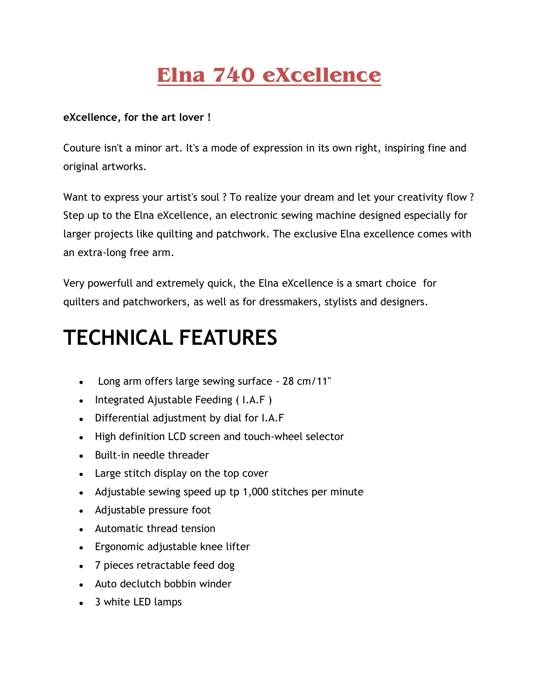## **Elna 740 eXcellence**

## **eXcellence, for the art lover !**

Couture isn't a minor art. It's a mode of expression in its own right, inspiring fine and original artworks.

Want to express your artist's soul ? To realize your dream and let your creativity flow ? Step up to the Elna eXcellence, an electronic sewing machine designed especially for larger projects like quilting and patchwork. The exclusive Elna excellence comes with an extra-long free arm.

Very powerfull and extremely quick, the Elna eXcellence is a smart choice for quilters and patchworkers, as well as for dressmakers, stylists and designers.

## **TECHNICAL FEATURES**

- Long arm offers large sewing surface 28 cm/11"
- $\bullet$  Integrated Ajustable Feeding (I.A.F)
- Differential adjustment by dial for I.A.F
- High definition LCD screen and touch-wheel selector
- Built-in needle threader
- Large stitch display on the top cover
- Adjustable sewing speed up tp 1,000 stitches per minute
- Adjustable pressure foot
- Automatic thread tension
- Ergonomic adjustable knee lifter
- 7 pieces retractable feed dog
- Auto declutch bobbin winder
- 3 white LED lamps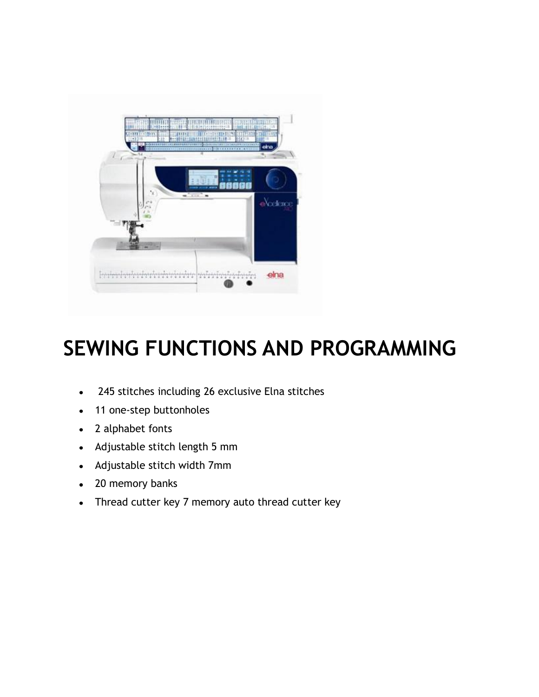

## **SEWING FUNCTIONS AND PROGRAMMING**

- 245 stitches including 26 exclusive Elna stitches
- 11 one-step buttonholes
- 2 alphabet fonts
- Adjustable stitch length 5 mm
- Adjustable stitch width 7mm
- 20 memory banks
- Thread cutter key 7 memory auto thread cutter key $\bullet$